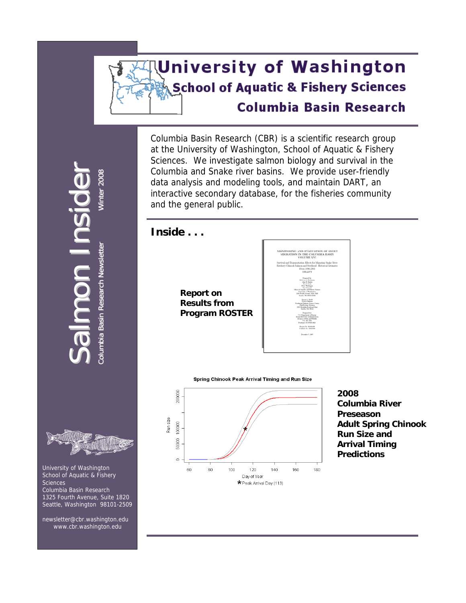# **University of Washington School of Aquatic & Fishery Sciences Columbia Basin Research**

Columbia Basin Research (CBR) is a scientific research group at the University of Washington, School of Aquatic & Fishery Sciences. We investigate salmon biology and survival in the Columbia and Snake river basins. We provide user-friendly data analysis and modeling tools, and maintain DART, an interactive secondary database, for the fisheries community and the general public.



Spring Chinook Peak Arrival Timing and Run Size



**2008 Columbia River Preseason Adult Spring Chinook Run Size and Arrival Timing Predictions** 

Sal mon  $\equiv$ <u>i i s</u> nsi **d** ider Columbia Columbia Basin Research Newsletter Research Newsletter W inter 2008



 University of Washington School of Aquatic & Fishery Sciences Columbia Basin Research 1325 Fourth Avenue, Suite 1820 Seattle, Washington 98101-2509

 newsletter@cbr.washington.edu [www.cbr.washington.edu](http://www.cbr.washington.edu/)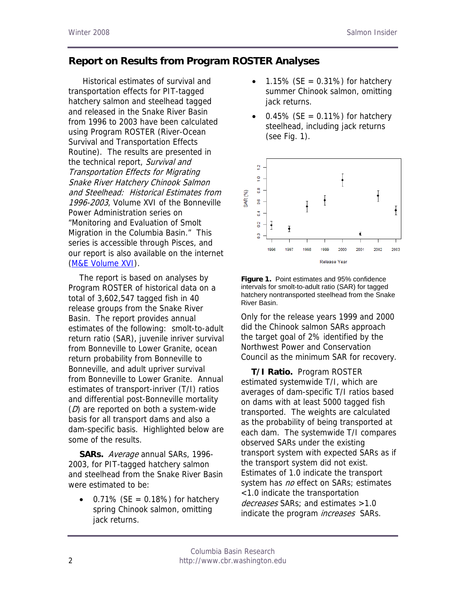## **Report on Results from Program ROSTER Analyses**

Historical estimates of survival and transportation effects for PIT-tagged hatchery salmon and steelhead tagged and released in the Snake River Basin from 1996 to 2003 have been calculated using Program ROSTER (River-Ocean Survival and Transportation Effects Routine). The results are presented in the technical report, Survival and Transportation Effects for Migrating Snake River Hatchery Chinook Salmon and Steelhead: Historical Estimates from 1996-2003, Volume XVI of the Bonneville Power Administration series on "Monitoring and Evaluation of Smolt Migration in the Columbia Basin." This series is accessible through Pisces, and our report is also available on the internet [\(M&E Volume XVI](http://pisces.bpa.gov/release/documents/documentviewer.aspx?doc=P104897)).

The report is based on analyses by Program ROSTER of historical data on a total of 3,602,547 tagged fish in 40 release groups from the Snake River Basin. The report provides annual estimates of the following: smolt-to-adult return ratio (SAR), juvenile inriver survival from Bonneville to Lower Granite, ocean return probability from Bonneville to Bonneville, and adult upriver survival from Bonneville to Lower Granite. Annual estimates of transport-inriver (T/I) ratios and differential post-Bonneville mortality  $(D)$  are reported on both a system-wide basis for all transport dams and also a dam-specific basis. Highlighted below are some of the results.

**SARs.** Average annual SARs, 1996- 2003, for PIT-tagged hatchery salmon and steelhead from the Snake River Basin were estimated to be:

0.71% ( $SE = 0.18\%$ ) for hatchery spring Chinook salmon, omitting jack returns.

- 1.15% ( $SE = 0.31\%$ ) for hatchery summer Chinook salmon, omitting jack returns.
- 0.45% ( $SE = 0.11\%$ ) for hatchery steelhead, including jack returns (see Fig. 1).



**Figure 1.** Point estimates and 95% confidence intervals for smolt-to-adult ratio (SAR) for tagged hatchery nontransported steelhead from the Snake River Basin.

Only for the release years 1999 and 2000 did the Chinook salmon SARs approach the target goal of 2% identified by the Northwest Power and Conservation Council as the minimum SAR for recovery.

**T/I Ratio.** Program ROSTER estimated systemwide T/I, which are averages of dam-specific T/I ratios based on dams with at least 5000 tagged fish transported. The weights are calculated as the probability of being transported at each dam. The systemwide T/I compares observed SARs under the existing transport system with expected SARs as if the transport system did not exist. Estimates of 1.0 indicate the transport system has *no* effect on SARs; estimates <1.0 indicate the transportation decreases SARs; and estimates > 1.0 indicate the program *increases* SARs.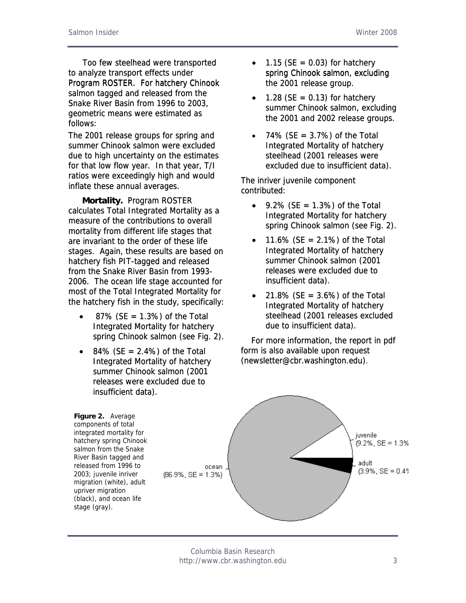Too few steelhead were transported to analyze transport effects under Program ROSTER. For hatchery Chinook salmon tagged and released from the Snake River Basin from 1996 to 2003, geometric means were estimated as follows:

The 2001 release groups for spring and summer Chinook salmon were excluded due to high uncertainty on the estimates for that low flow year. In that year, T/I ratios were exceedingly high and would inflate these annual averages.

**Mortality.** Program ROSTER calculates Total Integrated Mortality as a measure of the contributions to overall mortality from different life stages that are invariant to the order of these life stages. Again, these results are based on hatchery fish PIT-tagged and released from the Snake River Basin from 1993- 2006. The ocean life stage accounted for most of the Total Integrated Mortality for the hatchery fish in the study, specifically:

- 87% ( $SE = 1.3%$ ) of the Total Integrated Mortality for hatchery spring Chinook salmon (see Fig. 2).
- 84% ( $SE = 2.4%$ ) of the Total Integrated Mortality of hatchery summer Chinook salmon (2001 releases were excluded due to insufficient data).
- 1.15 ( $SE = 0.03$ ) for hatchery spring Chinook salmon, excluding the 2001 release group.
- 1.28 ( $SE = 0.13$ ) for hatchery summer Chinook salmon, excluding the 2001 and 2002 release groups.
- $74\%$  (SE = 3.7%) of the Total Integrated Mortality of hatchery steelhead (2001 releases were excluded due to insufficient data).

The inriver juvenile component contributed:

- 9.2% ( $SE = 1.3%$ ) of the Total Integrated Mortality for hatchery spring Chinook salmon (see Fig. 2).
- 11.6% ( $SE = 2.1\%$ ) of the Total Integrated Mortality of hatchery summer Chinook salmon (2001 releases were excluded due to insufficient data).
- 21.8% ( $SE = 3.6%$ ) of the Total Integrated Mortality of hatchery steelhead (2001 releases excluded due to insufficient data).

For more information, the report in pdf form is also available upon request (newsletter@cbr.washington.edu).



#### Columbia Basin Research http://www.cbr.washington.edu 3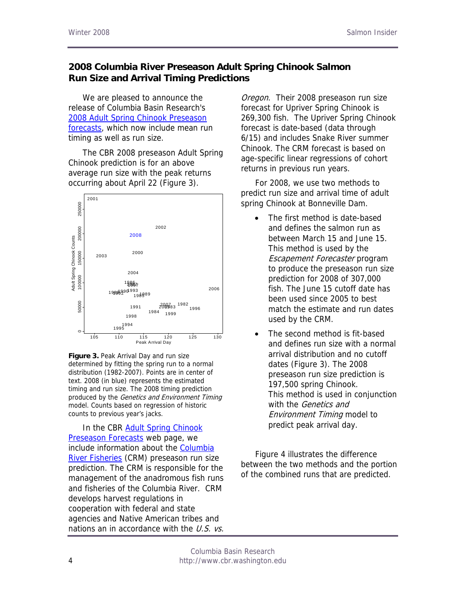## **2008 Columbia River Preseason Adult Spring Chinook Salmon Run Size and Arrival Timing Predictions**

We are pleased to announce the release of Columbia Basin Research's [2008 Adult Spring Chinook Preseason](http://www.cbr.washington.edu/crisprt/adult_preseason.html)  [forecasts](http://www.cbr.washington.edu/crisprt/adult_preseason.html), which now include mean run timing as well as run size.

The CBR 2008 preseason Adult Spring Chinook prediction is for an above average run size with the peak returns occurring about April 22 (Figure 3).



**Figure 3.** Peak Arrival Day and run size determined by fitting the spring run to a normal distribution (1982-2007). Points are in center of text. 2008 (in blue) represents the estimated timing and run size. The 2008 timing prediction produced by the Genetics and Environment Timing model. Counts based on regression of historic counts to previous year's jacks.

In the CBR [Adult Spring Chinook](http://www.cbr.washington.edu/crisprt/adult_preseason.html)  [Preseason Forecasts](http://www.cbr.washington.edu/crisprt/adult_preseason.html) web page, we include information about the [Columbia](http://www.dfw.state.or.us/fish/OSCRP/CRM/index.asp)  [River Fisheries](http://www.dfw.state.or.us/fish/OSCRP/CRM/index.asp) (CRM) preseason run size prediction. The CRM is responsible for the management of the anadromous fish runs and fisheries of the Columbia River. CRM develops harvest regulations in cooperation with federal and state agencies and Native American tribes and nations an in accordance with the  $U.S.$  vs.

Oregon. Their 2008 preseason run size forecast for Upriver Spring Chinook is 269,300 fish. The Upriver Spring Chinook forecast is date-based (data through 6/15) and includes Snake River summer Chinook. The CRM forecast is based on age-specific linear regressions of cohort returns in previous run years.

For 2008, we use two methods to predict run size and arrival time of adult spring Chinook at Bonneville Dam.

- The first method is date-based and defines the salmon run as between March 15 and June 15. This method is used by the Escapement Forecaster program to produce the preseason run size prediction for 2008 of 307,000 fish. The June 15 cutoff date has been used since 2005 to best match the estimate and run dates used by the CRM.
- The second method is fit-based and defines run size with a normal arrival distribution and no cutoff dates (Figure 3). The 2008 preseason run size prediction is 197,500 spring Chinook. This method is used in conjunction with the Genetics and Environment Timing model to predict peak arrival day.

Figure 4 illustrates the difference between the two methods and the portion of the combined runs that are predicted.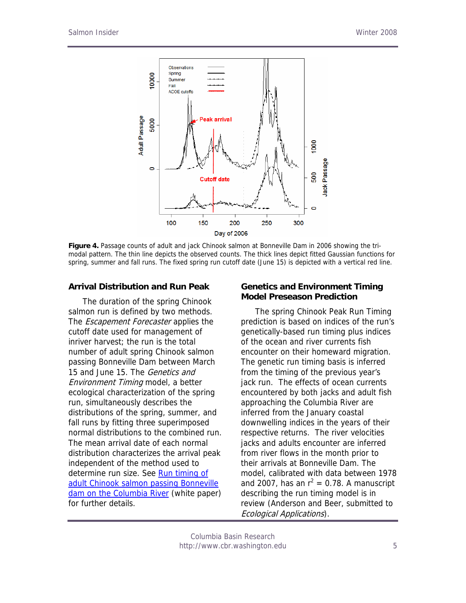

**Figure 4.** Passage counts of adult and jack Chinook salmon at Bonneville Dam in 2006 showing the trimodal pattern. The thin line depicts the observed counts. The thick lines depict fitted Gaussian functions for spring, summer and fall runs. The fixed spring run cutoff date (June 15) is depicted with a vertical red line.

#### **Arrival Distribution and Run Peak**

The duration of the spring Chinook salmon run is defined by two methods. The *Escapement Forecaster* applies the cutoff date used for management of inriver harvest; the run is the total number of adult spring Chinook salmon passing Bonneville Dam between March 15 and June 15. The Genetics and Environment Timing model, a better ecological characterization of the spring run, simultaneously describes the distributions of the spring, summer, and fall runs by fitting three superimposed normal distributions to the combined run. The mean arrival date of each normal distribution characterizes the arrival peak independent of the method used to determine run size. See [Run timing of](http://www.cbr.washington.edu/papers/chinook.run.timing.2007.html)  [adult Chinook salmon passing Bonneville](http://www.cbr.washington.edu/papers/chinook.run.timing.2007.html)  [dam on the Columbia River](http://www.cbr.washington.edu/papers/chinook.run.timing.2007.html) (white paper) for further details.

#### **Genetics and Environment Timing Model Preseason Prediction**

The spring Chinook Peak Run Timing prediction is based on indices of the run's genetically-based run timing plus indices of the ocean and river currents fish encounter on their homeward migration. The genetic run timing basis is inferred from the timing of the previous year's jack run. The effects of ocean currents encountered by both jacks and adult fish approaching the Columbia River are inferred from the January coastal downwelling indices in the years of their respective returns. The river velocities jacks and adults encounter are inferred from river flows in the month prior to their arrivals at Bonneville Dam. The model, calibrated with data between 1978 and 2007, has an  $r^2 = 0.78$ . A manuscript describing the run timing model is in review (Anderson and Beer, submitted to Ecological Applications).